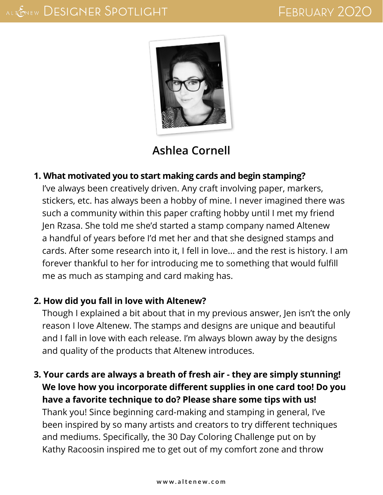

## **[Ashlea Cornell](http://www.ashleacrafts.com/)**

## **1. What motivated you to start making cards and begin stamping?**

I've always been creatively driven. Any craft involving paper, markers, stickers, etc. has always been a hobby of mine. I never imagined there was such a community within this paper crafting hobby until I met my friend Jen Rzasa. She told me she'd started a stamp company named Altenew a handful of years before I'd met her and that she designed stamps and cards. After some research into it, I fell in love... and the rest is history. I am forever thankful to her for introducing me to something that would fulfill me as much as stamping and card making has.

## **2. How did you fall in love with Altenew?**

Though I explained a bit about that in my previous answer, Jen isn't the only reason I love Altenew. The stamps and designs are unique and beautiful and I fall in love with each release. I'm always blown away by the designs and quality of the products that Altenew introduces.

**3. Your cards are always a breath of fresh air - they are simply stunning! We love how you incorporate different supplies in one card too! Do you have a favorite technique to do? Please share some tips with us!** Thank you! Since beginning card-making and stamping in general, I've been inspired by so many artists and creators to try different techniques

and mediums. Specifically, the 30 Day Coloring Challenge put on by Kathy Racoosin inspired me to get out of my comfort zone and throw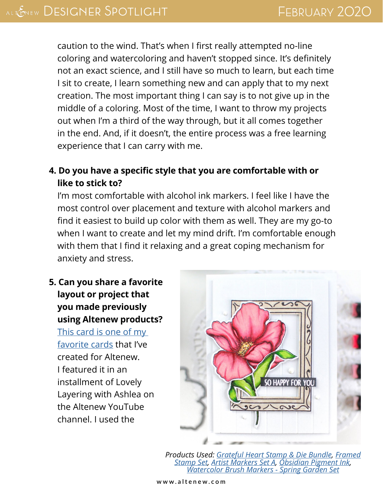caution to the wind. That's when I first really attempted no-line coloring and watercoloring and haven't stopped since. It's definitely not an exact science, and I still have so much to learn, but each time I sit to create, I learn something new and can apply that to my next creation. The most important thing I can say is to not give up in the middle of a coloring. Most of the time, I want to throw my projects out when I'm a third of the way through, but it all comes together in the end. And, if it doesn't, the entire process was a free learning experience that I can carry with me.

**4. Do you have a specific style that you are comfortable with or like to stick to?**

I'm most comfortable with alcohol ink markers. I feel like I have the most control over placement and texture with alcohol markers and find it easiest to build up color with them as well. They are my go-to when I want to create and let my mind drift. I'm comfortable enough with them that I find it relaxing and a great coping mechanism for anxiety and stress.

**5. Can you share a favorite layout or project that you made previously using Altenew products?** [This card is one of my](https://www.youtube.com/watch?v=AYftL2OB2-A&t=356s)  [favorite cards](https://www.youtube.com/watch?v=AYftL2OB2-A&t=356s) that I've created for Altenew. I featured it in an installment of Lovely Layering with Ashlea on the Altenew YouTube channel. I used the



*Products Used: [Grateful Heart Stamp & Die Bundle](https://altenew.com/products/grateful-heart-stamp-die-bundle), [Framed](https://altenew.com/products/framed-stamp-set?_pos=1&_sid=7658c6c25&_ss=r)  [Stamp Set](https://altenew.com/products/framed-stamp-set?_pos=1&_sid=7658c6c25&_ss=r), [Artist Markers Set A,](https://altenew.com/products/artist-markers-set-a?_pos=1&_sid=45c78fcea&_ss=r) [Obsidian Pigment Ink](https://altenew.com/products/obsidian-pigment-ink), [Watercolor Brush Markers - Spring Garden Set](https://altenew.com/products/watercolor-brush-markers-spring-garden-set)*